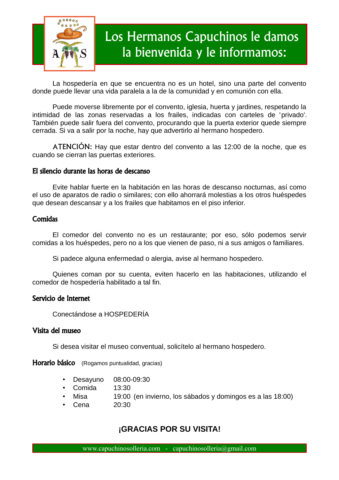

# Los Hermanos Capuchinos le damos la bienvenida y le informamos:

La hospedería en que se encuentra no es un hotel, sino una parte del convento donde puede llevar una vida paralela a la de la comunidad y en comunión con ella.

Puede moverse libremente por el convento, iglesia, huerta y jardines, respetando la intimidad de las zonas reservadas a los frailes, indicadas con carteles de 'privado'. También puede salir fuera del convento, procurando que la puerta exterior quede siempre cerrada. Si va a salir por la noche, hay que advertirlo al hermano hospedero.

ATENCIÓN: Hay que estar dentro del convento a las 12:00 de la noche, que es cuando se cierran las puertas exteriores.

### El silencio durante las horas de descanso

Evite hablar fuerte en la habitación en las horas de descanso nocturnas, así como el uso de aparatos de radio o similares; con ello ahorrará molestias a los otros huéspedes que desean descansar y a los frailes que habitamos en el piso inferior.

### **Comidas**

El comedor del convento no es un restaurante; por eso, sólo podemos servir comidas a los huéspedes, pero no a los que vienen de paso, ni a sus amigos o familiares.

Si padece alguna enfermedad o alergia, avise al hermano hospedero.

Quienes coman por su cuenta, eviten hacerlo en las habitaciones, utilizando el comedor de hospedería habilitado a tal fin.

### Servicio de Internet

Conectándose a HOSPEDERÍA

### Visita del museo

Si desea visitar el museo conventual, solicítelo al hermano hospedero.

Horario básico (Rogamos puntualidad, gracias)

- Desayuno 08:00-09:30
- Comida 13:30
- Misa 19:00 (en invierno, los sábados y domingos es a las 18:00)
- Cena 20:30

## **¡GRACIAS POR SU VISITA!**